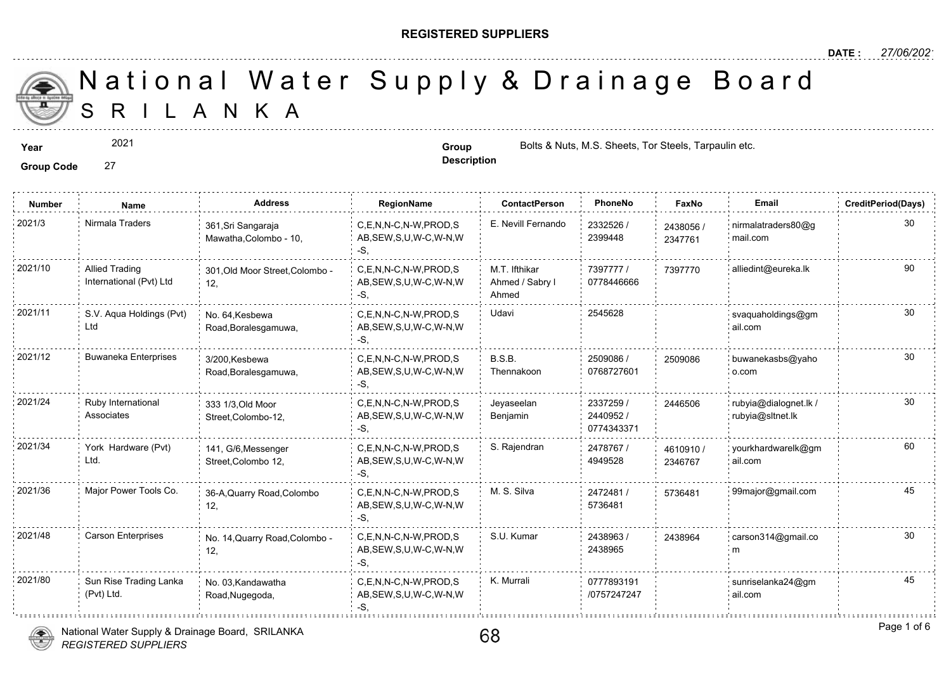#### **REGISTERED SUPPLIERS**

**Description**

A N K A National Water Supply & Drainage

**Year Group Group Bolts & Nuts, M.S. Sheets, Tor Steels, Tor Steels, Tarpaulin etc. Tarpaulin etc. Tarpaulin etc. Tarpaulin etc. Tarpaulin etc. Tarpaulin etc. Tarpaulin etc. Tarpaulin etc. Tarpaulin etc. Tarpaulin et** 

2021

**Group Code** 27

**Number Name Address RegionName ContactPerson PhoneNo FaxNo Email CreditPeriod(Days)** 2332526 / 2399448 2021/3 Nirmala Traders 361,Sri Sangaraja C,E,N,N-C,N-W,PROD,S E. Nevill Fernando 2332526 / 243805 AB,SEW,S,U,W-C,W-N,W -S, 361,Sri Sangaraja Mawatha,Colombo - 10, 24380 234776 7397777 / 73977 0778446666 M.T. Ifthikar Ahmed / Sabry l Ahmed C,E,N,N-C,N-W,PROD,S AB,SEW,S,U,W-C,W-N,W -S, 2021/10 Allied Trading 301,Old Moor Street,Colombo - C,E,N,N-C,N-W,PROD,S M.T. Ifthikar 7397777 / 739777 12, Allied Trading International (Pvt) Ltd C,E,N,N-C,N-W,PROD,S Udavi 2545628 AB,SEW,S,U,W-C,W-N,W -S, No. 64,Kesbewa Road,Boralesgamuwa, 2021/11 S.V. Aqua Holdings (Pvt) No. 64.Kesbewa C,E,N,N-C,N-W,PROD,S Udavi 2545628 Ltd 2509086 / 0768727601 B.S.B. Thennakoon 2021/12 Buwaneka Enterprises 3/200 Kesbewa C,E,N,N-C,N-W,PROD,S B.S.B. 2509086 / 250908 AB,SEW,S,U,W-C,W-N,W -S, 3/200,Kesbewa Road,Boralesgamuwa, 250908 2337259 / 2440952 / 0774343371 Jeyaseelan Benjamin 2021/24 Ruby International 333 1/3,Old Moor C,E,N,N-C,N-W,PROD,S Jeyaseelan 2337259 / 24465 AB,SEW,S,U,W-C,W-N,W -S, 333 1/3,Old Moor Street,Colombo-12, Ruby International Associates 24465 2478767 / 4949528 2021/34 York Hardware (Pvt) 141, G/6, Messenger C,E, N, N-C, N-W, PROD, S S. Rajendran 2478767 / 46109 AB,SEW,S,U,W-C,W-N,W -S, 141, G/6,Messenger Street,Colombo 12 York Hardware (Pvt) Ltd. 46109<sup></sup> 234676 2472481 / 57364 5736481 C,E,N,N-C,N-W,PROD,S M. S. Silva AB,SEW,S,U,W-C,W-N,W -S, 2021/36 Major Power Tools Co. <sub>36-A,Quarry Road,Colombo</sub> C,E,N,N-C,N-W,PROD,S M. S. Silva 2472481 / 573648 12,

 $-S$ 

-S,



(Pvt) Ltd.

12,

No. 03,Kandawatha Road,Nugegoda,

68

C,E,N,N-C,N-W,PROD,S S.U. Kumar

C,E,N,N-C,N-W,PROD,S K. Murrali

AB,SEW,S,U,W-C,W-N,W

AB,SEW,S,U,W-C,W-N,W

2021/80 Sun Rise Trading Lanka No. 03 Kandawatha C,E,N,N-C,N-W,PROD,S K. Murrali 0777893191

2021/48 Carson Enterprises No. 14,Quarry Road,Colombo - C,E,N,N-C,N-W,PROD,S S.U. Kumar 2438963 / 243896

2438963 / 2438965

0777893191 /0757247247 243896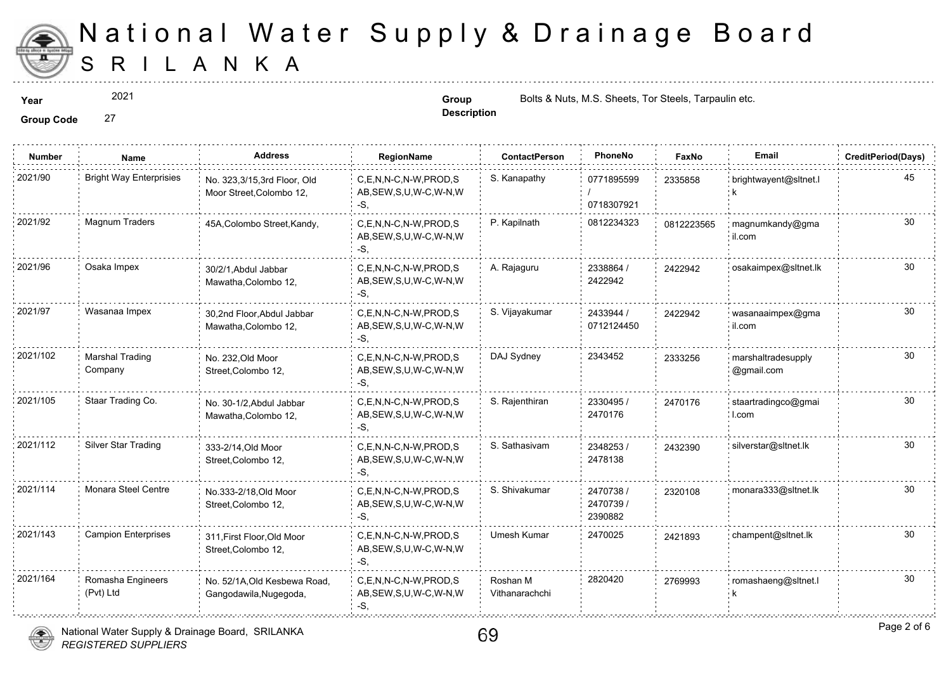

2021

**Description**

**Year Group Group Bolts & Nuts, M.S. Sheets, Tor Steels, Tor Steels, Tarpaulin etc. Tor Steels, Tor Steels, Tarpaulin etc. Tarpaulin etc. Tarpaulin etc. Tarpaulin etc. Tarpaulin etc. Tarpaulin etc. Tarpaulin etc. Tar** 

| <b>Number</b> | Name                              | Address                                                 | <b>RegionName</b>                                            | <b>ContactPerson</b>       | PhoneNo                           | Faxl   |
|---------------|-----------------------------------|---------------------------------------------------------|--------------------------------------------------------------|----------------------------|-----------------------------------|--------|
| 2021/90       | <b>Bright Way Enterprisies</b>    | No. 323,3/15,3rd Floor, Old<br>Moor Street, Colombo 12, | C.E.N.N-C.N-W.PROD.S<br>AB, SEW, S, U, W-C, W-N, W<br>-S,    | S. Kanapathy               | 0771895599<br>0718307921          | 233585 |
| 2021/92       | <b>Magnum Traders</b>             | 45A, Colombo Street, Kandy,                             | C,E,N,N-C,N-W,PROD,S<br>AB, SEW, S, U, W-C, W-N, W<br>-S,    | P. Kapilnath               | 0812234323                        | 081222 |
| 2021/96       | Osaka Impex                       | 30/2/1, Abdul Jabbar<br>Mawatha, Colombo 12,            | C.E.N.N-C.N-W.PROD.S<br>AB, SEW, S, U, W-C, W-N, W<br>$-S,$  | A. Rajaguru                | 2338864 /<br>2422942              | 242294 |
| 2021/97       | Wasanaa Impex                     | 30,2nd Floor, Abdul Jabbar<br>Mawatha, Colombo 12,      | C,E,N,N-C,N-W,PROD,S<br>AB, SEW, S, U, W-C, W-N, W<br>-S.    | S. Vijayakumar             | 2433944 /<br>0712124450           | 242294 |
| 2021/102      | <b>Marshal Trading</b><br>Company | No. 232, Old Moor<br>Street, Colombo 12,                | C.E.N.N-C.N-W.PROD.S<br>AB, SEW, S, U, W-C, W-N, W<br>$-S$ . | DAJ Sydney                 | 2343452                           | 233325 |
| 2021/105      | Staar Trading Co.                 | No. 30-1/2, Abdul Jabbar<br>Mawatha, Colombo 12,        | C,E,N,N-C,N-W,PROD,S<br>AB, SEW, S, U, W-C, W-N, W<br>-S.    | S. Rajenthiran             | 2330495 /<br>2470176              | 247017 |
| 2021/112      | Silver Star Trading               | 333-2/14, Old Moor<br>Street, Colombo 12,               | C.E.N.N-C.N-W.PROD.S<br>AB, SEW, S, U, W-C, W-N, W<br>$-S$ . | S. Sathasivam              | 2348253/<br>2478138               | 243239 |
| 2021/114      | Monara Steel Centre               | No.333-2/18, Old Moor<br>Street, Colombo 12,            | C,E,N,N-C,N-W,PROD,S<br>AB, SEW, S, U, W-C, W-N, W<br>-S.    | S. Shivakumar              | 2470738 /<br>2470739 /<br>2390882 | 232010 |
| 2021/143      | <b>Campion Enterprises</b>        | 311, First Floor, Old Moor<br>Street, Colombo 12,       | C.E.N.N-C.N-W.PROD.S<br>AB, SEW, S, U, W-C, W-N, W<br>$-S.$  | Umesh Kumar                | 2470025                           | 242189 |
| 2021/164      | Romasha Engineers<br>(Pvt) Ltd    | No. 52/1A, Old Kesbewa Road,<br>Gangodawila, Nugegoda,  | C,E,N,N-C,N-W,PROD,S<br>AB, SEW, S, U, W-C, W-N, W<br>-S.    | Roshan M<br>Vithanarachchi | 2820420                           | 276999 |

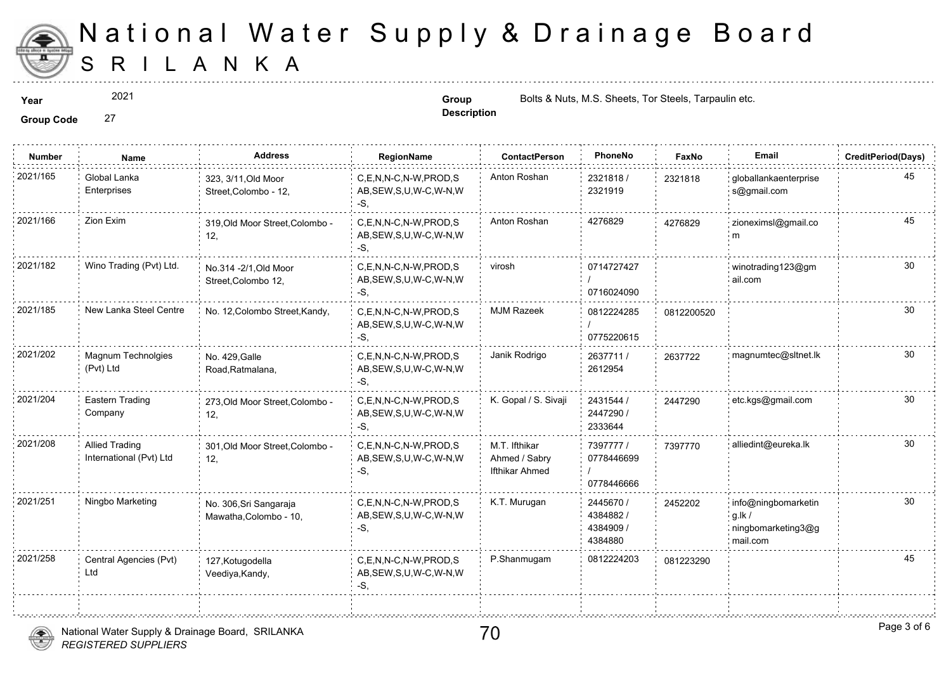

**Description**

2021

**Year Group Group Bolts & Nuts, M.S. Sheets, Tor Steels, Tor Steels, Tarpaulin etc. Tarpaulin etc. Tarpaulin etc. Tarpaulin etc. Tarpaulin etc. Tarpaulin etc. Tarpaulin etc. Tarpaulin etc. Tarpaulin etc. Tarpaulin et** 

**Group Code** 27

**Number Name Address RegionName ContactPerson PhoneNo FaxNo Email CreditPeriod(Days)** 2321818 / 2321919 2021/165 Global Lanka 323, 3/11,Old Moor C,E,N,N-C,N-W,PROD,S Anton Roshan 2321818 / 23218 AB,SEW,S,U,W-C,W-N,W -S, 323, 3/11,Old Moor Street,Colombo - 12, Global Lanka Enterprises 23218<sup>-</sup> C.E.N.N-C.N-W.PROD.S Anton Roshan 4276829 AB,SEW,S,U,W-C,W-N,W -S, 2021/166 Zion Exim 319,Old Moor Street,Colombo - C,E,N,N-C,N-W,PROD,S Anton Roshan 4276829 427682 12, 427682 0714727427 / 0716024090 2021/182 Wino Trading (Pvt) Ltd. <sub>No.314 -2/1,Old Moor</sub> C,E,N,N-C,N-W,PROD,S virosh 0714727427 AB,SEW,S,U,W-C,W-N,W -S, No.314 -2/1,Old Moor Street,Colombo 12, 0812224285 081220 / 0775220615 C,E,N,N-C,N-W,PROD,S MJM Razeek AB,SEW,S,U,W-C,W-N,W -S, 2021/185 New Lanka Steel Centre No. 12, Colombo Street, Kandy, 2637711 / 26377 2612954 2021/202 Magnum Technolgies No. 429,Galle C,E,N,N-C,N-W,PROD,S Janik Rodrigo 2637711 / 263772 AB,SEW,S,U,W-C,W-N,W -S, No. 429,Galle Road,Ratmalana, Magnum Technolgies (Pvt) Ltd 2431544 / 24472 2447290 / 2333644 C,E,N,N-C,N-W,PROD,S K. Gopal / S. Sivaji AB,SEW,S,U,W-C,W-N,W -S, 2021/204 Eastern Trading 273,Old Moor Street,Colombo - C,E,N,N-C,N-W,PROD,S K. Gopal / S. Sivaji 2431544 / 244729 12, Eastern Trading Company 7397777 / 73977 0778446699 / 0778446666 M.T. Ifthikar Ahmed / Sabry Ifthikar Ahmed C,E,N,N-C,N-W,PROD,S AB,SEW,S,U,W-C,W-N,W -S, 2021/208 Allied Trading 301,Old Moor Street,Colombo - C,E,N,N-C,N-W,PROD,S M.T. Ifthikar 7397777 / 739777 12, Allied Trading International (Pvt) Ltd 2445670 / 4384882 / 4384909 / 4384880 2021/251 Ningbo Marketing info@ningbomarketing info@ningbomarketing info@ningbomarketing info@ningbomarketing info@ningbomarketing info@ningbomarketing info@ningbomarketing info@ningbomarketing info@ningbomarketingbomarket AB,SEW,S,U,W-C,W-N,W -S, No. 306,Sri Sangaraja Mawatha,Colombo - 10, 245220 2021/258 Central Agencies (Pvt) 127,Kotugodella C,E,N,N-C,N-W,PROD,S P.Shanmugam 0812224203 081223 AB,SEW,S,U,W-C,W-N,W -S, 127,Kotugodella Veediya,Kandy, Central Agencies (Pvt) Ltd

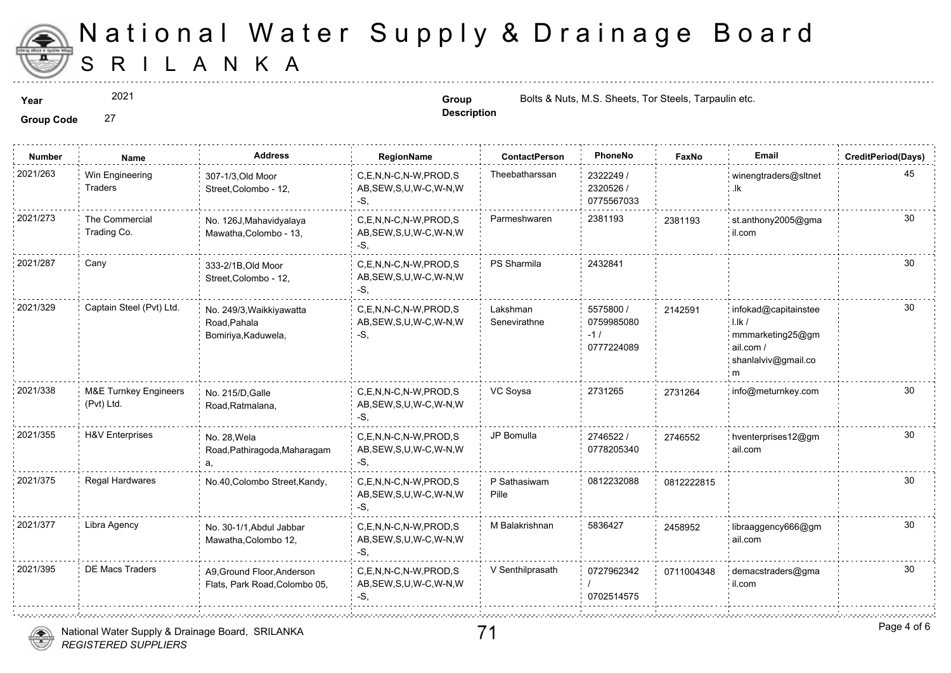

2021

**Description**

**Year Group Group Group Bolts & Nuts, M.S. Sheets, Tor Steels, Tarpaulin etc. The Steels, Tarpaulin etc. Tarpaulin etc. Tarpaulin etc. Tarpaulin etc. Tarpaulin etc. Tarpaulin etc. Tarpaulin etc. Tarpaulin etc. Tarp** 

| <b>Number</b> | <b>Name</b>                                    | <b>Address</b>                                                 | RegionName                                                | <b>ContactPerson</b>     | PhoneNo                                        | Faxl   |
|---------------|------------------------------------------------|----------------------------------------------------------------|-----------------------------------------------------------|--------------------------|------------------------------------------------|--------|
| 2021/263      | Win Engineering<br>Traders                     | 307-1/3, Old Moor<br>Street, Colombo - 12,                     | C,E,N,N-C,N-W,PROD,S<br>AB, SEW, S, U, W-C, W-N, W<br>-S. | Theebatharssan           | 2322249 /<br>2320526 /<br>0775567033           |        |
| 2021/273      | The Commercial<br>Trading Co.                  | No. 126J, Mahavidyalaya<br>Mawatha, Colombo - 13,              | C.E.N.N-C.N-W.PROD.S<br>AB, SEW, S, U, W-C, W-N, W<br>-S. | Parmeshwaren             | 2381193                                        | 238119 |
| 2021/287      | Cany                                           | 333-2/1B.Old Moor<br>Street, Colombo - 12,                     | C.E.N.N-C.N-W.PROD.S<br>AB, SEW, S, U, W-C, W-N, W<br>-S. | PS Sharmila              | 2432841                                        |        |
| 2021/329      | Captain Steel (Pvt) Ltd.                       | No. 249/3, Waikkiyawatta<br>Road.Pahala<br>Bomiriya, Kaduwela, | C,E,N,N-C,N-W,PROD,S<br>AB, SEW, S, U, W-C, W-N, W<br>-S, | Lakshman<br>Senevirathne | 5575800 /<br>0759985080<br>$-1/$<br>0777224089 | 214259 |
| 2021/338      | <b>M&amp;E Turnkey Engineers</b><br>(Pvt) Ltd. | No. 215/D, Galle<br>Road, Ratmalana,                           | C.E.N.N-C.N-W.PROD.S<br>AB, SEW, S, U, W-C, W-N, W<br>-S. | VC Soysa                 | 2731265                                        | 273126 |
| 2021/355      | <b>H&amp;V</b> Enterprises                     | No. 28, Wela<br>Road, Pathiragoda, Maharagam                   | C,E,N,N-C,N-W,PROD,S<br>AB, SEW, S, U, W-C, W-N, W<br>-S. | JP Bomulla               | 2746522 /<br>0778205340                        | 274655 |
| 2021/375      | Regal Hardwares                                | No.40, Colombo Street, Kandy,                                  | C,E,N,N-C,N-W,PROD,S<br>AB, SEW, S, U, W-C, W-N, W<br>-S, | P Sathasiwam<br>Pille    | 0812232088                                     | 081222 |
| 2021/377      | Libra Agency                                   | No. 30-1/1, Abdul Jabbar<br>Mawatha, Colombo 12,               | C.E.N.N-C.N-W.PROD.S<br>AB, SEW, S, U, W-C, W-N, W<br>-S, | M Balakrishnan           | 5836427                                        | 245895 |
| 2021/395      | DE Macs Traders                                | A9, Ground Floor, Anderson<br>Flats, Park Road, Colombo 05,    | C.E.N.N-C.N-W.PROD.S<br>AB, SEW, S, U, W-C, W-N, W<br>-S, | V Senthilprasath         | 0727962342<br>0702514575                       | 071100 |

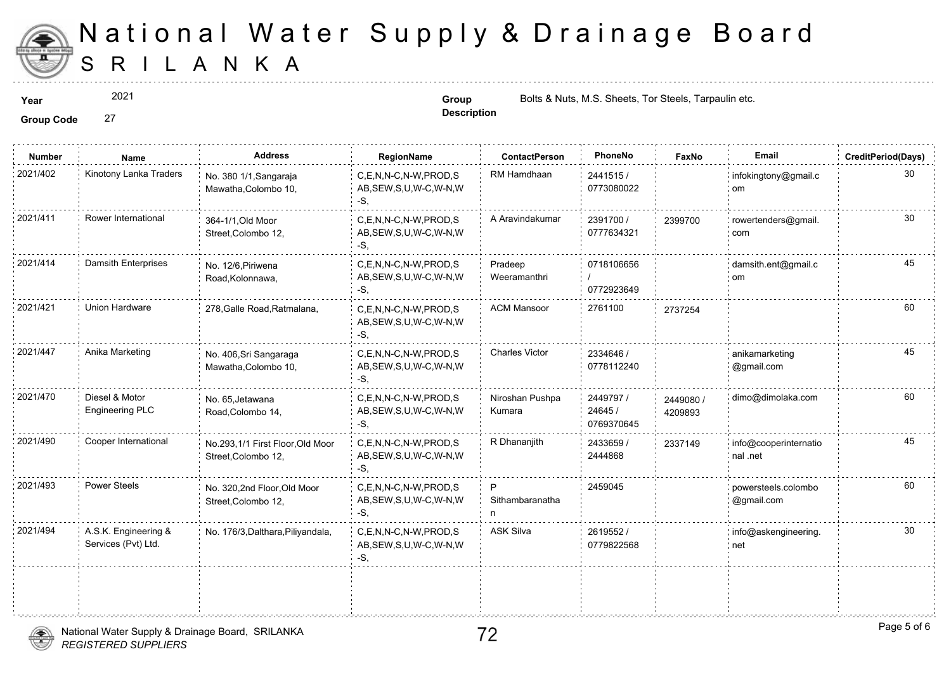

2021

**Description**

**Year Group Group Group Bolts & Nuts, M.S. Sheets, Tor Steels, Tarpaulin etc. Tarpaulin etc. Tarpaulin etc. Tarpaulin etc. Tarpaulin etc. Tarpaulin etc. Tarpaulin etc. Tarpaulin etc. Tarpaulin etc. Tarpaulin etc. T** 

| <b>Number</b> | Name                                        | <b>Address</b>                                          | RegionName                                                   | <b>ContactPerson</b>      | PhoneNo                            | Faxl             |
|---------------|---------------------------------------------|---------------------------------------------------------|--------------------------------------------------------------|---------------------------|------------------------------------|------------------|
| 2021/402      | Kinotony Lanka Traders                      | No. 380 1/1, Sangaraja<br>Mawatha, Colombo 10,          | C.E.N.N-C.N-W.PROD.S<br>AB, SEW, S, U, W-C, W-N, W<br>-S,    | RM Hamdhaan               | 2441515/<br>0773080022             |                  |
| 2021/411      | Rower International                         | 364-1/1, Old Moor<br>Street, Colombo 12,                | C,E,N,N-C,N-W,PROD,S<br>AB, SEW, S, U, W-C, W-N, W<br>-S,    | A Aravindakumar           | 2391700 /<br>0777634321            | 239970           |
| 2021/414      | <b>Damsith Enterprises</b>                  | No. 12/6, Piriwena<br>Road, Kolonnawa,                  | C,E,N,N-C,N-W,PROD,S<br>AB, SEW, S, U, W-C, W-N, W<br>-S.    | Pradeep<br>Weeramanthri   | 0718106656<br>0772923649           |                  |
| 2021/421      | Union Hardware                              | 278, Galle Road, Ratmalana,                             | C,E,N,N-C,N-W,PROD,S<br>AB, SEW, S, U, W-C, W-N, W<br>-S.    | <b>ACM Mansoor</b>        | 2761100                            | 273725           |
| 2021/447      | Anika Marketing                             | No. 406, Sri Sangaraga<br>Mawatha, Colombo 10,          | C,E,N,N-C,N-W,PROD,S<br>AB, SEW, S, U, W-C, W-N, W<br>-S.    | <b>Charles Victor</b>     | 2334646 /<br>0778112240            |                  |
| 2021/470      | Diesel & Motor<br><b>Engineering PLC</b>    | No. 65, Jetawana<br>Road, Colombo 14,                   | C.E.N.N-C.N-W.PROD.S<br>AB, SEW, S, U, W-C, W-N, W<br>$-S$ . | Niroshan Pushpa<br>Kumara | 2449797 /<br>24645 /<br>0769370645 | 244908<br>420989 |
| 2021/490      | Cooper International                        | No.293,1/1 First Floor, Old Moor<br>Street, Colombo 12, | C,E,N,N-C,N-W,PROD,S<br>AB, SEW, S, U, W-C, W-N, W<br>$-S,$  | R Dhananjith              | 2433659/<br>2444868                | 233714           |
| 2021/493      | Power Steels                                | No. 320,2nd Floor,Old Moor<br>Street, Colombo 12,       | C,E,N,N-C,N-W,PROD,S<br>AB, SEW, S, U, W-C, W-N, W<br>-S.    | P<br>Sithambaranatha<br>n | 2459045                            |                  |
| 2021/494      | A.S.K. Engineering &<br>Services (Pvt) Ltd. | No. 176/3, Dalthara, Piliyandala,                       | C,E,N,N-C,N-W,PROD,S<br>AB, SEW, S, U, W-C, W-N, W<br>-S,    | <b>ASK Silva</b>          | 2619552 /<br>0779822568            |                  |
|               |                                             |                                                         |                                                              |                           |                                    |                  |
|               |                                             |                                                         |                                                              |                           |                                    |                  |